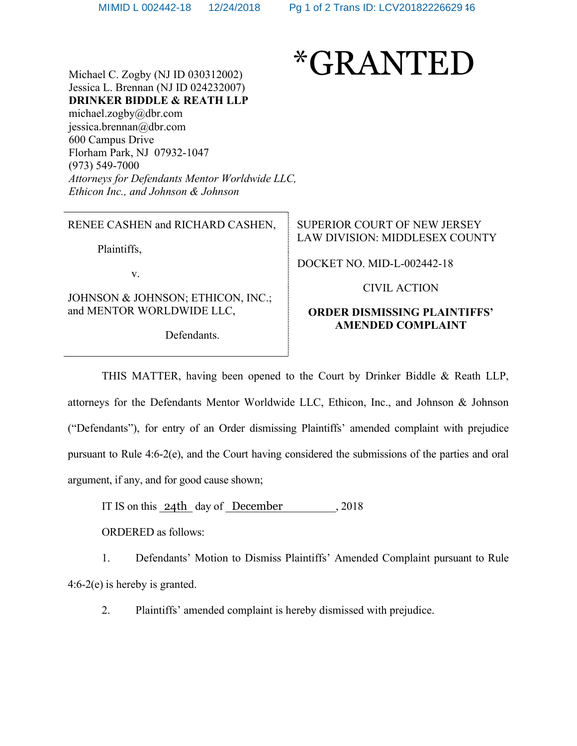

Michael C. Zogby (NJ ID 030312002) Jessica L. Brennan (NJ ID 024232007) **DRINKER BIDDLE & REATH LLP** [michael.zogby@dbr.com](mailto:michael.zogby@dbr.com) jessica.brennan@dbr.com 600 Campus Drive Florham Park, NJ 07932-1047 (973) 549-7000 *Attorneys for Defendants Mentor Worldwide LLC, Ethicon Inc., and Johnson & Johnson* 

RENEE CASHEN and RICHARD CASHEN,

Plaintiffs,

v.

JOHNSON & JOHNSON; ETHICON, INC.; and MENTOR WORLDWIDE LLC,

Defendants.

SUPERIOR COURT OF NEW JERSEY LAW DIVISION: MIDDLESEX COUNTY

DOCKET NO. MID-L-002442-18

CIVIL ACTION

### **ORDER DISMISSING PLAINTIFFS' AMENDED COMPLAINT**

THIS MATTER, having been opened to the Court by Drinker Biddle & Reath LLP, attorneys for the Defendants Mentor Worldwide LLC, Ethicon, Inc., and Johnson & Johnson ("Defendants"), for entry of an Order dismissing Plaintiffs' amended complaint with prejudice pursuant to Rule 4:6-2(e), and the Court having considered the submissions of the parties and oral argument, if any, and for good cause shown;

IT IS on this  $\frac{24\text{th}}{4}$  day of December . 2018

ORDERED as follows:

1. Defendants' Motion to Dismiss Plaintiffs' Amended Complaint pursuant to Rule 4:6-2(e) is hereby is granted.

2. Plaintiffs' amended complaint is hereby dismissed with prejudice.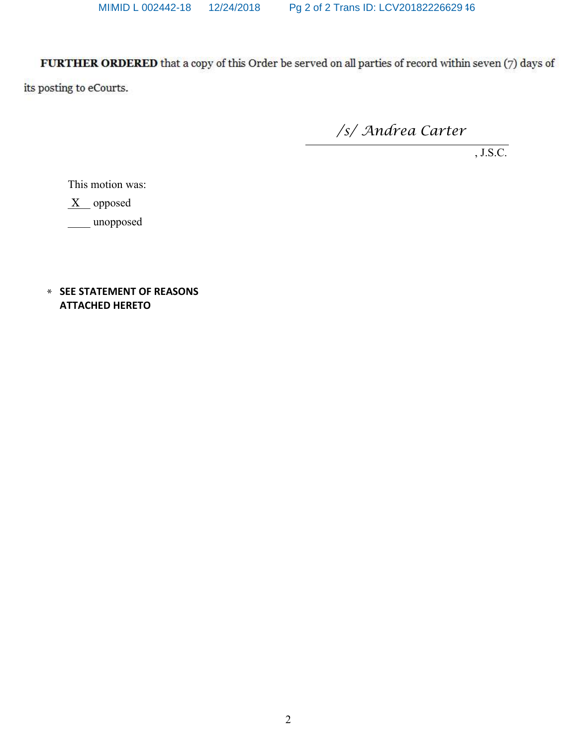FURTHER ORDERED that a copy of this Order be served on all parties of record within seven (7) days of

*/s/ Andrea Carter*

, J.S.C.

This motion was:

X opposed

\_\_\_\_ unopposed

\* **SEE STATEMENT OF REASONS ATTACHED HERETO**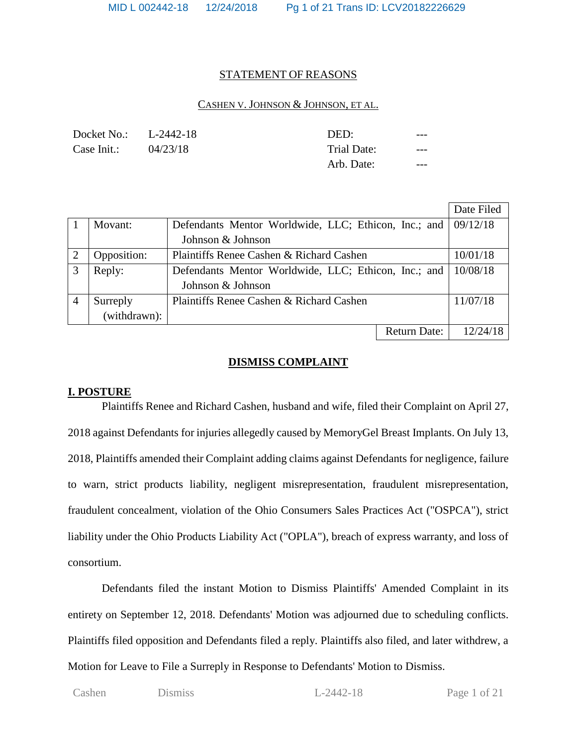#### STATEMENT OF REASONS

### CASHEN V. JOHNSON & JOHNSON, ET AL.

| Docket No.: L-2442-18 |          | DED:        | ---   |
|-----------------------|----------|-------------|-------|
| Case Init.:           | 04/23/18 | Trial Date: | $---$ |
|                       |          | Arb. Date:  | ---   |

|                |              |                                                      |                     | Date Filed |
|----------------|--------------|------------------------------------------------------|---------------------|------------|
|                | Movant:      | Defendants Mentor Worldwide, LLC; Ethicon, Inc.; and | 09/12/18            |            |
|                |              | Johnson & Johnson                                    |                     |            |
| $\overline{2}$ | Opposition:  | Plaintiffs Renee Cashen & Richard Cashen             |                     | 10/01/18   |
| 3              | Reply:       | Defendants Mentor Worldwide, LLC; Ethicon, Inc.; and |                     | 10/08/18   |
|                |              | Johnson & Johnson                                    |                     |            |
|                | Surreply     | Plaintiffs Renee Cashen & Richard Cashen             |                     | 11/07/18   |
|                | (withdrawn): |                                                      |                     |            |
|                |              |                                                      | <b>Return Date:</b> | 12/24/18   |

## **DISMISS COMPLAINT**

## **I. POSTURE**

Plaintiffs Renee and Richard Cashen, husband and wife, filed their Complaint on April 27, 2018 against Defendants for injuries allegedly caused by MemoryGel Breast Implants. On July 13, 2018, Plaintiffs amended their Complaint adding claims against Defendants for negligence, failure to warn, strict products liability, negligent misrepresentation, fraudulent misrepresentation, fraudulent concealment, violation of the Ohio Consumers Sales Practices Act ("OSPCA"), strict liability under the Ohio Products Liability Act ("OPLA"), breach of express warranty, and loss of consortium.

Defendants filed the instant Motion to Dismiss Plaintiffs' Amended Complaint in its entirety on September 12, 2018. Defendants' Motion was adjourned due to scheduling conflicts. Plaintiffs filed opposition and Defendants filed a reply. Plaintiffs also filed, and later withdrew, a Motion for Leave to File a Surreply in Response to Defendants' Motion to Dismiss.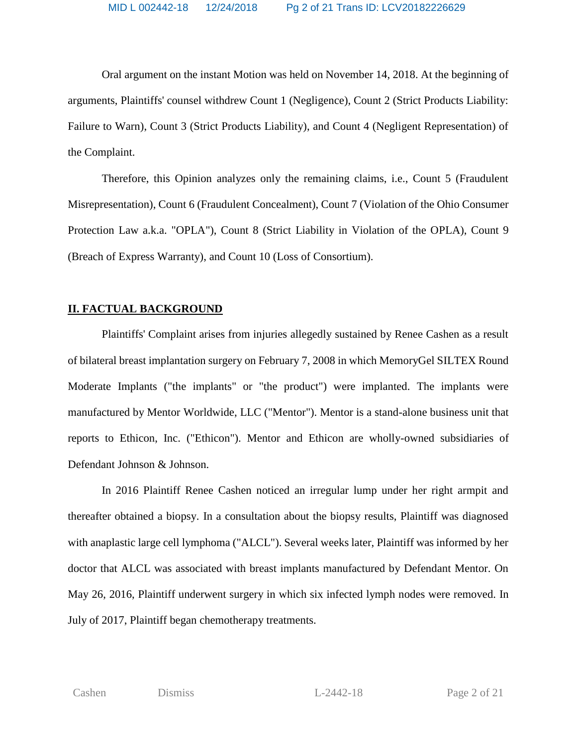Oral argument on the instant Motion was held on November 14, 2018. At the beginning of arguments, Plaintiffs' counsel withdrew Count 1 (Negligence), Count 2 (Strict Products Liability: Failure to Warn), Count 3 (Strict Products Liability), and Count 4 (Negligent Representation) of the Complaint.

Therefore, this Opinion analyzes only the remaining claims, i.e., Count 5 (Fraudulent Misrepresentation), Count 6 (Fraudulent Concealment), Count 7 (Violation of the Ohio Consumer Protection Law a.k.a. "OPLA"), Count 8 (Strict Liability in Violation of the OPLA), Count 9 (Breach of Express Warranty), and Count 10 (Loss of Consortium).

### **II. FACTUAL BACKGROUND**

Plaintiffs' Complaint arises from injuries allegedly sustained by Renee Cashen as a result of bilateral breast implantation surgery on February 7, 2008 in which MemoryGel SILTEX Round Moderate Implants ("the implants" or "the product") were implanted. The implants were manufactured by Mentor Worldwide, LLC ("Mentor"). Mentor is a stand-alone business unit that reports to Ethicon, Inc. ("Ethicon"). Mentor and Ethicon are wholly-owned subsidiaries of Defendant Johnson & Johnson.

In 2016 Plaintiff Renee Cashen noticed an irregular lump under her right armpit and thereafter obtained a biopsy. In a consultation about the biopsy results, Plaintiff was diagnosed with anaplastic large cell lymphoma ("ALCL"). Several weeks later, Plaintiff was informed by her doctor that ALCL was associated with breast implants manufactured by Defendant Mentor. On May 26, 2016, Plaintiff underwent surgery in which six infected lymph nodes were removed. In July of 2017, Plaintiff began chemotherapy treatments.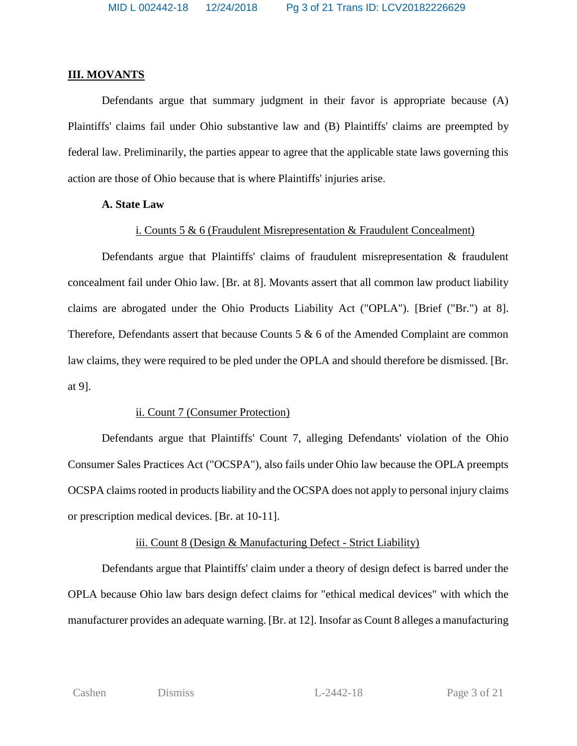### **III. MOVANTS**

Defendants argue that summary judgment in their favor is appropriate because (A) Plaintiffs' claims fail under Ohio substantive law and (B) Plaintiffs' claims are preempted by federal law. Preliminarily, the parties appear to agree that the applicable state laws governing this action are those of Ohio because that is where Plaintiffs' injuries arise.

### **A. State Law**

## i. Counts 5 & 6 (Fraudulent Misrepresentation & Fraudulent Concealment)

Defendants argue that Plaintiffs' claims of fraudulent misrepresentation & fraudulent concealment fail under Ohio law. [Br. at 8]. Movants assert that all common law product liability claims are abrogated under the Ohio Products Liability Act ("OPLA"). [Brief ("Br.") at 8]. Therefore, Defendants assert that because Counts 5 & 6 of the Amended Complaint are common law claims, they were required to be pled under the OPLA and should therefore be dismissed. [Br. at 9].

## ii. Count 7 (Consumer Protection)

Defendants argue that Plaintiffs' Count 7, alleging Defendants' violation of the Ohio Consumer Sales Practices Act ("OCSPA"), also fails under Ohio law because the OPLA preempts OCSPA claims rooted in products liability and the OCSPA does not apply to personal injury claims or prescription medical devices. [Br. at 10-11].

# iii. Count 8 (Design & Manufacturing Defect - Strict Liability)

Defendants argue that Plaintiffs' claim under a theory of design defect is barred under the OPLA because Ohio law bars design defect claims for "ethical medical devices" with which the manufacturer provides an adequate warning. [Br. at 12]. Insofar as Count 8 alleges a manufacturing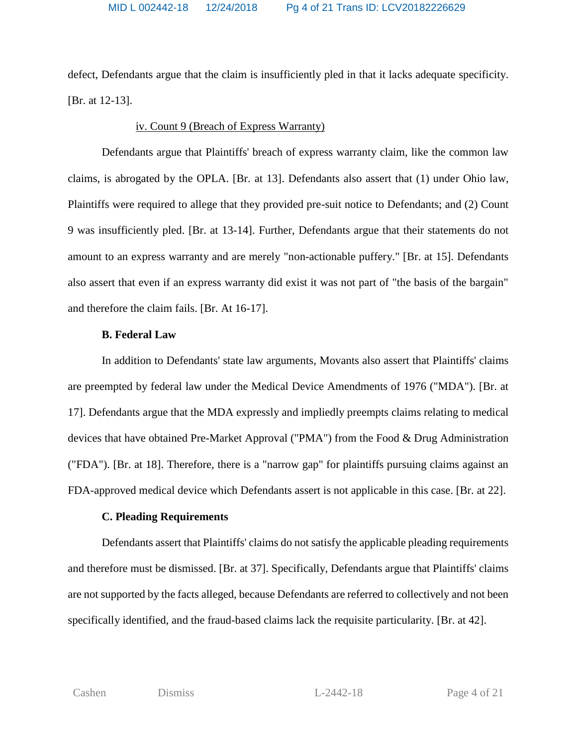defect, Defendants argue that the claim is insufficiently pled in that it lacks adequate specificity. [Br. at 12-13].

## iv. Count 9 (Breach of Express Warranty)

Defendants argue that Plaintiffs' breach of express warranty claim, like the common law claims, is abrogated by the OPLA. [Br. at 13]. Defendants also assert that (1) under Ohio law, Plaintiffs were required to allege that they provided pre-suit notice to Defendants; and (2) Count 9 was insufficiently pled. [Br. at 13-14]. Further, Defendants argue that their statements do not amount to an express warranty and are merely "non-actionable puffery." [Br. at 15]. Defendants also assert that even if an express warranty did exist it was not part of "the basis of the bargain" and therefore the claim fails. [Br. At 16-17].

## **B. Federal Law**

In addition to Defendants' state law arguments, Movants also assert that Plaintiffs' claims are preempted by federal law under the Medical Device Amendments of 1976 ("MDA"). [Br. at 17]. Defendants argue that the MDA expressly and impliedly preempts claims relating to medical devices that have obtained Pre-Market Approval ("PMA") from the Food & Drug Administration ("FDA"). [Br. at 18]. Therefore, there is a "narrow gap" for plaintiffs pursuing claims against an FDA-approved medical device which Defendants assert is not applicable in this case. [Br. at 22].

# **C. Pleading Requirements**

Defendants assert that Plaintiffs' claims do not satisfy the applicable pleading requirements and therefore must be dismissed. [Br. at 37]. Specifically, Defendants argue that Plaintiffs' claims are not supported by the facts alleged, because Defendants are referred to collectively and not been specifically identified, and the fraud-based claims lack the requisite particularity. [Br. at 42].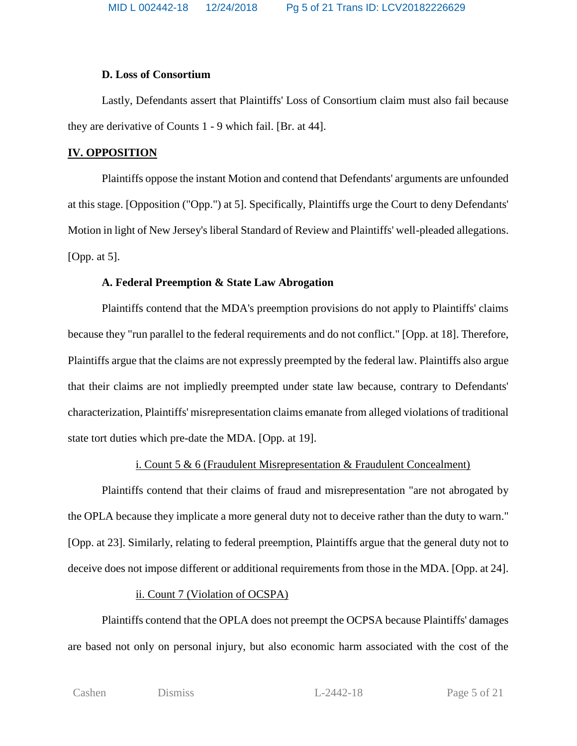## **D. Loss of Consortium**

Lastly, Defendants assert that Plaintiffs' Loss of Consortium claim must also fail because they are derivative of Counts 1 - 9 which fail. [Br. at 44].

# **IV. OPPOSITION**

Plaintiffs oppose the instant Motion and contend that Defendants' arguments are unfounded at this stage. [Opposition ("Opp.") at 5]. Specifically, Plaintiffs urge the Court to deny Defendants' Motion in light of New Jersey's liberal Standard of Review and Plaintiffs' well-pleaded allegations. [Opp. at 5].

# **A. Federal Preemption & State Law Abrogation**

Plaintiffs contend that the MDA's preemption provisions do not apply to Plaintiffs' claims because they "run parallel to the federal requirements and do not conflict." [Opp. at 18]. Therefore, Plaintiffs argue that the claims are not expressly preempted by the federal law. Plaintiffs also argue that their claims are not impliedly preempted under state law because, contrary to Defendants' characterization, Plaintiffs' misrepresentation claims emanate from alleged violations of traditional state tort duties which pre-date the MDA. [Opp. at 19].

# i. Count 5 & 6 (Fraudulent Misrepresentation & Fraudulent Concealment)

Plaintiffs contend that their claims of fraud and misrepresentation "are not abrogated by the OPLA because they implicate a more general duty not to deceive rather than the duty to warn." [Opp. at 23]. Similarly, relating to federal preemption, Plaintiffs argue that the general duty not to deceive does not impose different or additional requirements from those in the MDA. [Opp. at 24].

# ii. Count 7 (Violation of OCSPA)

Plaintiffs contend that the OPLA does not preempt the OCPSA because Plaintiffs' damages are based not only on personal injury, but also economic harm associated with the cost of the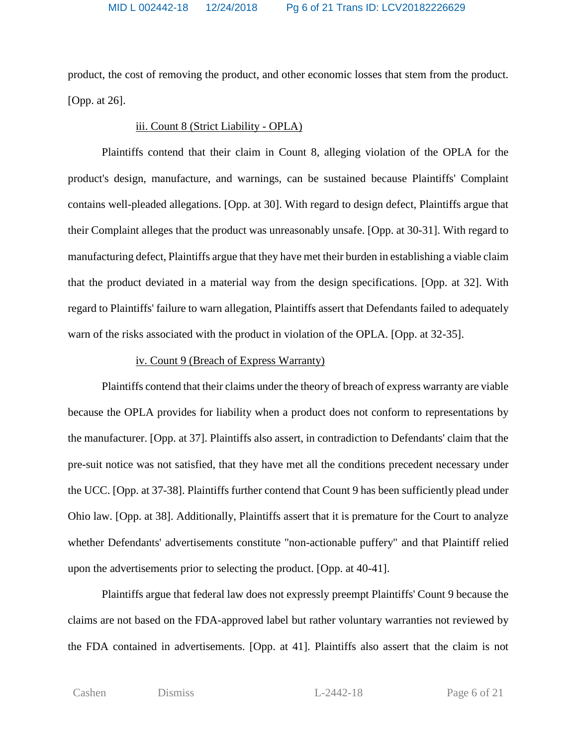product, the cost of removing the product, and other economic losses that stem from the product. [Opp. at 26].

# iii. Count 8 (Strict Liability - OPLA)

Plaintiffs contend that their claim in Count 8, alleging violation of the OPLA for the product's design, manufacture, and warnings, can be sustained because Plaintiffs' Complaint contains well-pleaded allegations. [Opp. at 30]. With regard to design defect, Plaintiffs argue that their Complaint alleges that the product was unreasonably unsafe. [Opp. at 30-31]. With regard to manufacturing defect, Plaintiffs argue that they have met their burden in establishing a viable claim that the product deviated in a material way from the design specifications. [Opp. at 32]. With regard to Plaintiffs' failure to warn allegation, Plaintiffs assert that Defendants failed to adequately warn of the risks associated with the product in violation of the OPLA. [Opp. at 32-35].

#### iv. Count 9 (Breach of Express Warranty)

Plaintiffs contend that their claims under the theory of breach of express warranty are viable because the OPLA provides for liability when a product does not conform to representations by the manufacturer. [Opp. at 37]. Plaintiffs also assert, in contradiction to Defendants' claim that the pre-suit notice was not satisfied, that they have met all the conditions precedent necessary under the UCC. [Opp. at 37-38]. Plaintiffs further contend that Count 9 has been sufficiently plead under Ohio law. [Opp. at 38]. Additionally, Plaintiffs assert that it is premature for the Court to analyze whether Defendants' advertisements constitute "non-actionable puffery" and that Plaintiff relied upon the advertisements prior to selecting the product. [Opp. at 40-41].

Plaintiffs argue that federal law does not expressly preempt Plaintiffs' Count 9 because the claims are not based on the FDA-approved label but rather voluntary warranties not reviewed by the FDA contained in advertisements. [Opp. at 41]. Plaintiffs also assert that the claim is not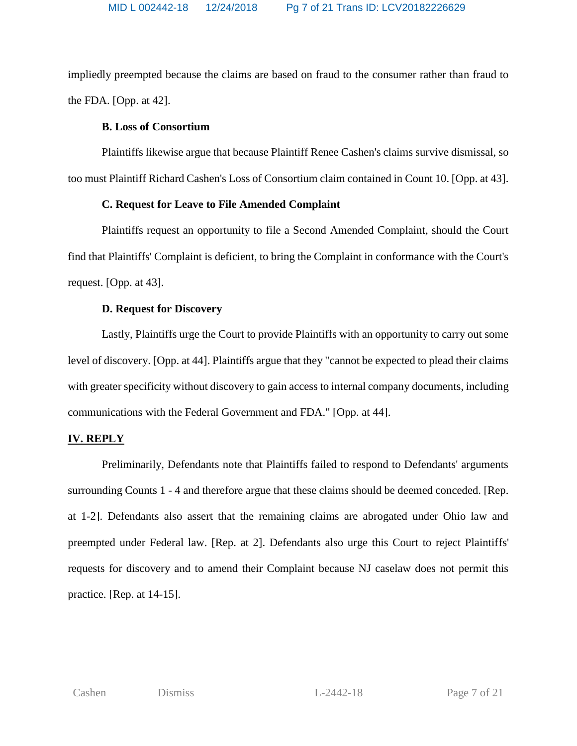impliedly preempted because the claims are based on fraud to the consumer rather than fraud to the FDA. [Opp. at 42].

# **B. Loss of Consortium**

Plaintiffs likewise argue that because Plaintiff Renee Cashen's claims survive dismissal, so too must Plaintiff Richard Cashen's Loss of Consortium claim contained in Count 10. [Opp. at 43].

# **C. Request for Leave to File Amended Complaint**

Plaintiffs request an opportunity to file a Second Amended Complaint, should the Court find that Plaintiffs' Complaint is deficient, to bring the Complaint in conformance with the Court's request. [Opp. at 43].

# **D. Request for Discovery**

Lastly, Plaintiffs urge the Court to provide Plaintiffs with an opportunity to carry out some level of discovery. [Opp. at 44]. Plaintiffs argue that they "cannot be expected to plead their claims with greater specificity without discovery to gain access to internal company documents, including communications with the Federal Government and FDA." [Opp. at 44].

# **IV. REPLY**

Preliminarily, Defendants note that Plaintiffs failed to respond to Defendants' arguments surrounding Counts 1 - 4 and therefore argue that these claims should be deemed conceded. [Rep. at 1-2]. Defendants also assert that the remaining claims are abrogated under Ohio law and preempted under Federal law. [Rep. at 2]. Defendants also urge this Court to reject Plaintiffs' requests for discovery and to amend their Complaint because NJ caselaw does not permit this practice. [Rep. at 14-15].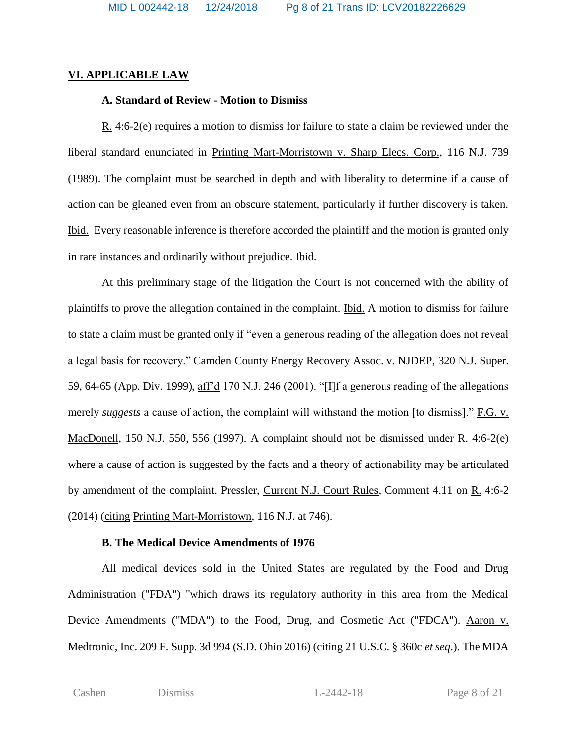## **VI. APPLICABLE LAW**

# **A. Standard of Review - Motion to Dismiss**

R. 4:6-2(e) requires a motion to dismiss for failure to state a claim be reviewed under the liberal standard enunciated in Printing Mart-Morristown v. Sharp Elecs. Corp., 116 N.J. 739 (1989). The complaint must be searched in depth and with liberality to determine if a cause of action can be gleaned even from an obscure statement, particularly if further discovery is taken. Ibid. Every reasonable inference is therefore accorded the plaintiff and the motion is granted only in rare instances and ordinarily without prejudice. Ibid.

At this preliminary stage of the litigation the Court is not concerned with the ability of plaintiffs to prove the allegation contained in the complaint. Ibid. A motion to dismiss for failure to state a claim must be granted only if "even a generous reading of the allegation does not reveal a legal basis for recovery." Camden County Energy Recovery Assoc. v. NJDEP, 320 N.J. Super. 59, 64-65 (App. Div. 1999), aff'd 170 N.J. 246 (2001). "[I]f a generous reading of the allegations merely *suggests* a cause of action, the complaint will withstand the motion [to dismiss]." F.G. v. MacDonell, 150 N.J. 550, 556 (1997). A complaint should not be dismissed under R. 4:6-2(e) where a cause of action is suggested by the facts and a theory of actionability may be articulated by amendment of the complaint. Pressler, Current N.J. Court Rules, Comment 4.11 on R. 4:6-2 (2014) (citing Printing Mart-Morristown, 116 N.J. at 746).

# **B. The Medical Device Amendments of 1976**

All medical devices sold in the United States are regulated by the Food and Drug Administration ("FDA") "which draws its regulatory authority in this area from the Medical Device Amendments ("MDA") to the Food, Drug, and Cosmetic Act ("FDCA"). Aaron v. Medtronic, Inc. 209 F. Supp. 3d 994 (S.D. Ohio 2016) (citing 21 U.S.C. § 360c *et seq*.). The MDA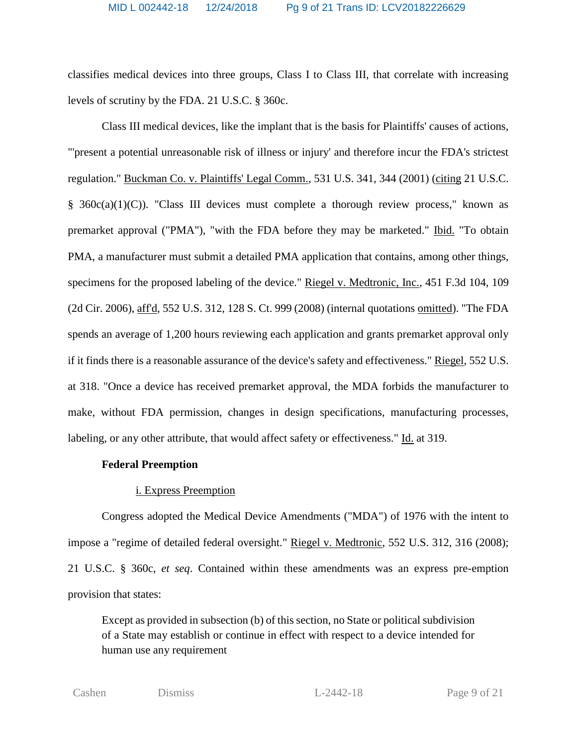classifies medical devices into three groups, Class I to Class III, that correlate with increasing levels of scrutiny by the FDA. 21 U.S.C. § 360c.

Class III medical devices, like the implant that is the basis for Plaintiffs' causes of actions, "'present a potential unreasonable risk of illness or injury' and therefore incur the FDA's strictest regulation." Buckman Co. v. Plaintiffs' Legal Comm., 531 U.S. 341, 344 (2001) (citing 21 U.S.C.  $§$  360c(a)(1)(C)). "Class III devices must complete a thorough review process," known as premarket approval ("PMA"), "with the FDA before they may be marketed." Ibid. "To obtain PMA, a manufacturer must submit a detailed PMA application that contains, among other things, specimens for the proposed labeling of the device." Riegel v. Medtronic, Inc., 451 F.3d 104, 109 (2d Cir. 2006), aff'd, 552 U.S. 312, 128 S. Ct. 999 (2008) (internal quotations omitted). "The FDA spends an average of 1,200 hours reviewing each application and grants premarket approval only if it finds there is a reasonable assurance of the device's safety and effectiveness." Riegel, 552 U.S. at 318. "Once a device has received premarket approval, the MDA forbids the manufacturer to make, without FDA permission, changes in design specifications, manufacturing processes, labeling, or any other attribute, that would affect safety or effectiveness." Id. at 319.

# **Federal Preemption**

# i. Express Preemption

Congress adopted the Medical Device Amendments ("MDA") of 1976 with the intent to impose a "regime of detailed federal oversight." Riegel v. Medtronic, 552 U.S. 312, 316 (2008); 21 U.S.C. § 360c, *et seq*. Contained within these amendments was an express pre-emption provision that states:

Except as provided in subsection (b) of this section, no State or political subdivision of a State may establish or continue in effect with respect to a device intended for human use any requirement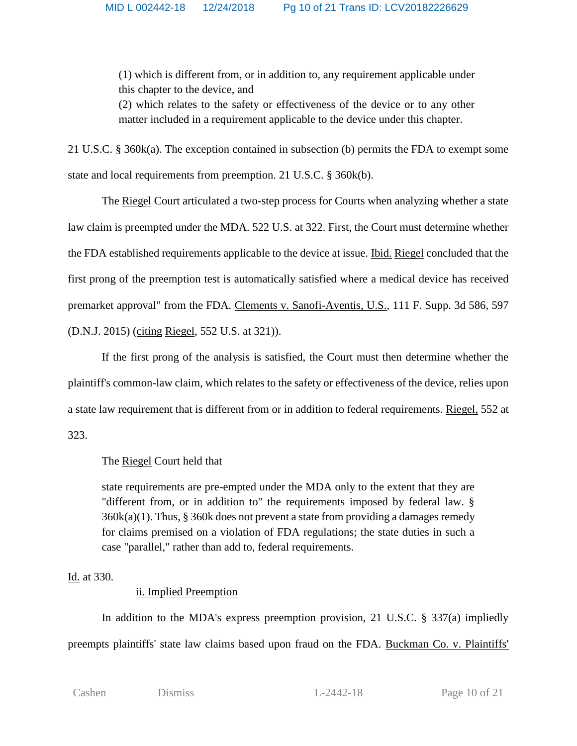(1) which is different from, or in addition to, any requirement applicable under this chapter to the device, and

(2) which relates to the safety or effectiveness of the device or to any other matter included in a requirement applicable to the device under this chapter.

21 U.S.C. § 360k(a). The exception contained in subsection (b) permits the FDA to exempt some state and local requirements from preemption. 21 U.S.C. § 360k(b).

The Riegel Court articulated a two-step process for Courts when analyzing whether a state law claim is preempted under the MDA. 522 U.S. at 322. First, the Court must determine whether the FDA established requirements applicable to the device at issue. Ibid. Riegel concluded that the first prong of the preemption test is automatically satisfied where a medical device has received premarket approval" from the FDA. Clements v. Sanofi-Aventis, U.S., 111 F. Supp. 3d 586, 597 (D.N.J. 2015) (citing Riegel, 552 U.S. at 321)).

If the first prong of the analysis is satisfied, the Court must then determine whether the plaintiff's common-law claim, which relates to the safety or effectiveness of the device, relies upon a state law requirement that is different from or in addition to federal requirements. Riegel, 552 at 323.

# The Riegel Court held that

state requirements are pre-empted under the MDA only to the extent that they are "different from, or in addition to" the requirements imposed by federal law. § 360k(a)(1). Thus, § 360k does not prevent a state from providing a damages remedy for claims premised on a violation of FDA regulations; the state duties in such a case "parallel," rather than add to, federal requirements.

# Id. at 330.

# ii. Implied Preemption

In addition to the MDA's express preemption provision, 21 U.S.C. § 337(a) impliedly preempts plaintiffs' state law claims based upon fraud on the FDA. Buckman Co. v. Plaintiffs'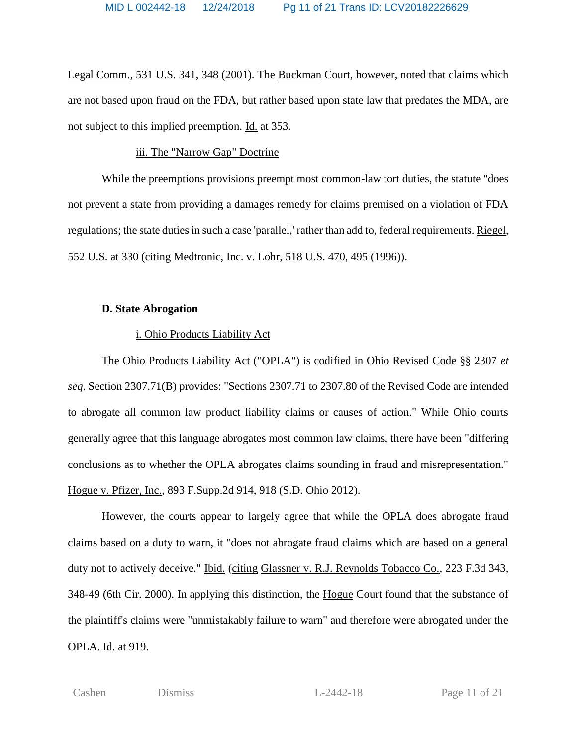Legal Comm., 531 U.S. 341, 348 (2001). The Buckman Court, however, noted that claims which are not based upon fraud on the FDA, but rather based upon state law that predates the MDA, are not subject to this implied preemption. Id. at 353.

#### iii. The "Narrow Gap" Doctrine

While the preemptions provisions preempt most common-law tort duties, the statute "does not prevent a state from providing a damages remedy for claims premised on a violation of FDA regulations; the state duties in such a case 'parallel,' rather than add to, federal requirements. Riegel, 552 U.S. at 330 (citing Medtronic, Inc. v. Lohr, 518 U.S. 470, 495 (1996)).

#### **D. State Abrogation**

### i. Ohio Products Liability Act

The Ohio Products Liability Act ("OPLA") is codified in Ohio Revised Code §§ 2307 *et seq*. Section 2307.71(B) provides: "Sections 2307.71 to 2307.80 of the Revised Code are intended to abrogate all common law product liability claims or causes of action." While Ohio courts generally agree that this language abrogates most common law claims, there have been "differing conclusions as to whether the OPLA abrogates claims sounding in fraud and misrepresentation." Hogue v. Pfizer, Inc., 893 F.Supp.2d 914, 918 (S.D. Ohio 2012).

However, the courts appear to largely agree that while the OPLA does abrogate fraud claims based on a duty to warn, it "does not abrogate fraud claims which are based on a general duty not to actively deceive." Ibid. (citing Glassner v. R.J. Reynolds Tobacco Co., 223 F.3d 343, 348-49 (6th Cir. 2000). In applying this distinction, the Hogue Court found that the substance of the plaintiff's claims were "unmistakably failure to warn" and therefore were abrogated under the OPLA. Id. at 919.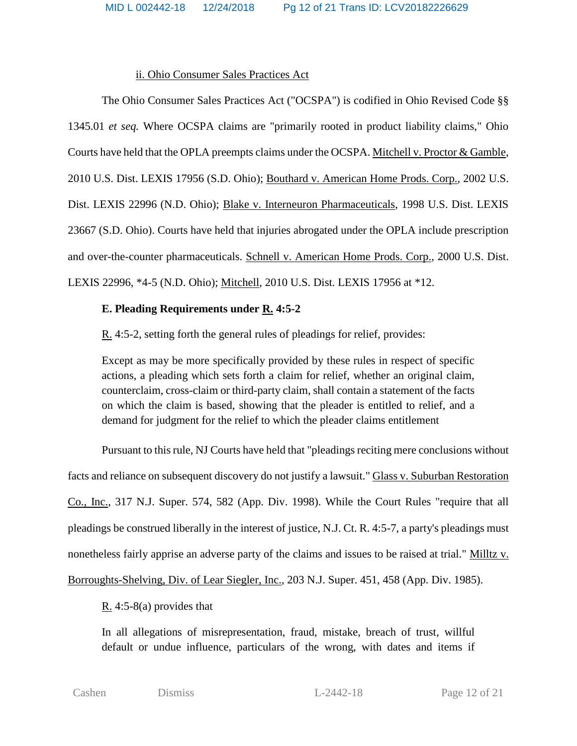### ii. Ohio Consumer Sales Practices Act

The Ohio Consumer Sales Practices Act ("OCSPA") is codified in Ohio Revised Code §§ 1345.01 *et seq.* Where OCSPA claims are "primarily rooted in product liability claims," Ohio Courts have held that the OPLA preempts claims under the OCSPA. Mitchell v. Proctor & Gamble, 2010 U.S. Dist. LEXIS 17956 (S.D. Ohio); Bouthard v. American Home Prods. Corp., 2002 U.S. Dist. LEXIS 22996 (N.D. Ohio); Blake v. Interneuron Pharmaceuticals, 1998 U.S. Dist. LEXIS 23667 (S.D. Ohio). Courts have held that injuries abrogated under the OPLA include prescription and over-the-counter pharmaceuticals. Schnell v. American Home Prods. Corp., 2000 U.S. Dist. LEXIS 22996, \*4-5 (N.D. Ohio); Mitchell, 2010 U.S. Dist. LEXIS 17956 at \*12.

## **E. Pleading Requirements under R. 4:5-2**

R. 4:5-2, setting forth the general rules of pleadings for relief, provides:

Except as may be more specifically provided by these rules in respect of specific actions, a pleading which sets forth a claim for relief, whether an original claim, counterclaim, cross-claim or third-party claim, shall contain a statement of the facts on which the claim is based, showing that the pleader is entitled to relief, and a demand for judgment for the relief to which the pleader claims entitlement

Pursuant to this rule, NJ Courts have held that "pleadings reciting mere conclusions without facts and reliance on subsequent discovery do not justify a lawsuit." Glass v. Suburban Restoration Co., Inc., 317 N.J. Super. 574, 582 (App. Div. 1998). While the Court Rules "require that all pleadings be construed liberally in the interest of justice, N.J. Ct. R. 4:5-7, a party's pleadings must nonetheless fairly apprise an adverse party of the claims and issues to be raised at trial." Milltz v. Borroughts-Shelving, Div. of Lear Siegler, Inc., 203 N.J. Super. 451, 458 (App. Div. 1985).

R. 4:5-8(a) provides that

In all allegations of misrepresentation, fraud, mistake, breach of trust, willful default or undue influence, particulars of the wrong, with dates and items if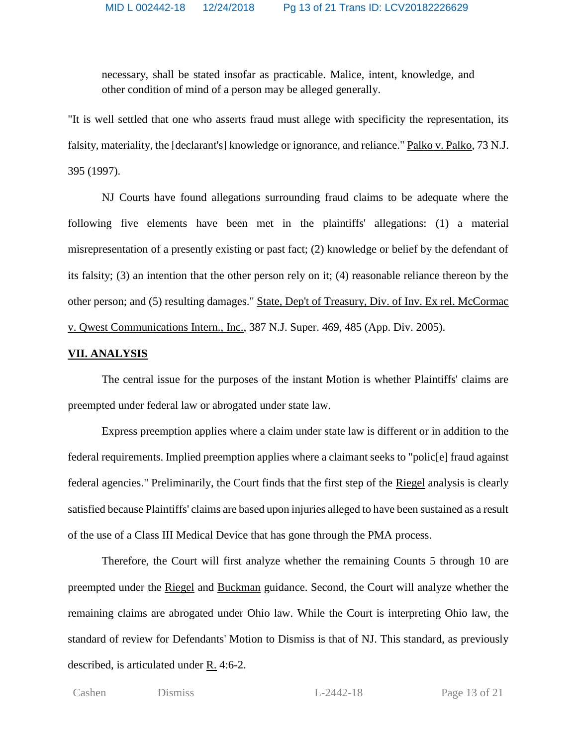necessary, shall be stated insofar as practicable. Malice, intent, knowledge, and other condition of mind of a person may be alleged generally.

"It is well settled that one who asserts fraud must allege with specificity the representation, its falsity, materiality, the [declarant's] knowledge or ignorance, and reliance." Palko v. Palko, 73 N.J. 395 (1997).

NJ Courts have found allegations surrounding fraud claims to be adequate where the following five elements have been met in the plaintiffs' allegations: (1) a material misrepresentation of a presently existing or past fact; (2) knowledge or belief by the defendant of its falsity; (3) an intention that the other person rely on it; (4) reasonable reliance thereon by the other person; and (5) resulting damages." State, Dep't of Treasury, Div. of Inv. Ex rel. McCormac v. Qwest Communications Intern., Inc., 387 N.J. Super. 469, 485 (App. Div. 2005).

#### **VII. ANALYSIS**

The central issue for the purposes of the instant Motion is whether Plaintiffs' claims are preempted under federal law or abrogated under state law.

Express preemption applies where a claim under state law is different or in addition to the federal requirements. Implied preemption applies where a claimant seeks to "polic[e] fraud against federal agencies." Preliminarily, the Court finds that the first step of the Riegel analysis is clearly satisfied because Plaintiffs' claims are based upon injuries alleged to have been sustained as a result of the use of a Class III Medical Device that has gone through the PMA process.

Therefore, the Court will first analyze whether the remaining Counts 5 through 10 are preempted under the Riegel and Buckman guidance. Second, the Court will analyze whether the remaining claims are abrogated under Ohio law. While the Court is interpreting Ohio law, the standard of review for Defendants' Motion to Dismiss is that of NJ. This standard, as previously described, is articulated under R. 4:6-2.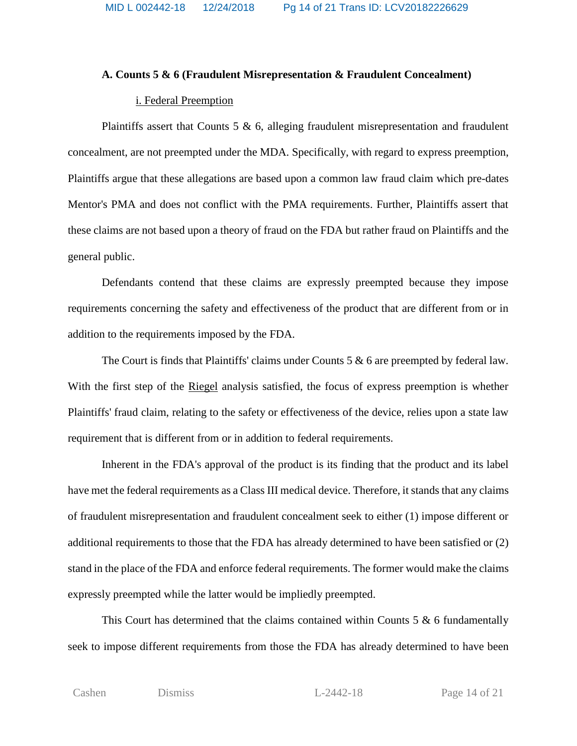MID L 002442-18 12/24/2018 Pg 14 of 21 Trans ID: LCV20182226629

#### **A. Counts 5 & 6 (Fraudulent Misrepresentation & Fraudulent Concealment)**

#### i. Federal Preemption

Plaintiffs assert that Counts  $5 \& 6$ , alleging fraudulent misrepresentation and fraudulent concealment, are not preempted under the MDA. Specifically, with regard to express preemption, Plaintiffs argue that these allegations are based upon a common law fraud claim which pre-dates Mentor's PMA and does not conflict with the PMA requirements. Further, Plaintiffs assert that these claims are not based upon a theory of fraud on the FDA but rather fraud on Plaintiffs and the general public.

Defendants contend that these claims are expressly preempted because they impose requirements concerning the safety and effectiveness of the product that are different from or in addition to the requirements imposed by the FDA.

The Court is finds that Plaintiffs' claims under Counts 5 & 6 are preempted by federal law. With the first step of the Riegel analysis satisfied, the focus of express preemption is whether Plaintiffs' fraud claim, relating to the safety or effectiveness of the device, relies upon a state law requirement that is different from or in addition to federal requirements.

Inherent in the FDA's approval of the product is its finding that the product and its label have met the federal requirements as a Class III medical device. Therefore, it stands that any claims of fraudulent misrepresentation and fraudulent concealment seek to either (1) impose different or additional requirements to those that the FDA has already determined to have been satisfied or (2) stand in the place of the FDA and enforce federal requirements. The former would make the claims expressly preempted while the latter would be impliedly preempted.

This Court has determined that the claims contained within Counts  $5 \& 6$  fundamentally seek to impose different requirements from those the FDA has already determined to have been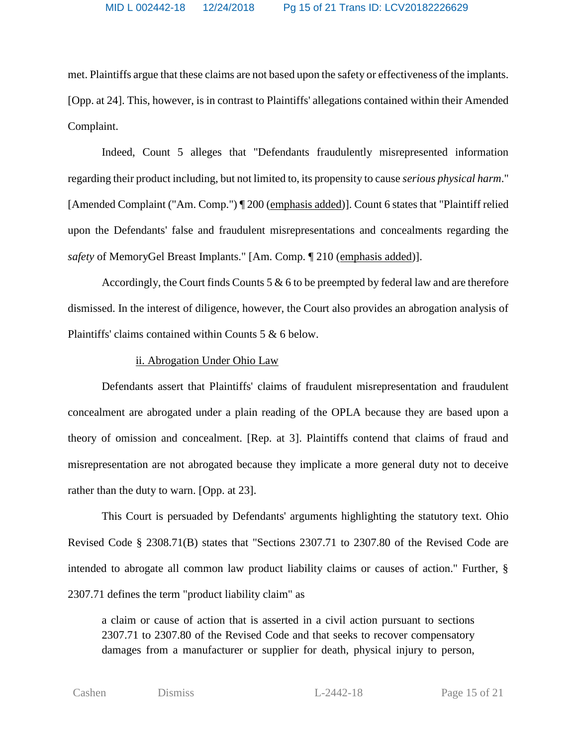met. Plaintiffs argue that these claims are not based upon the safety or effectiveness of the implants. [Opp. at 24]. This, however, is in contrast to Plaintiffs' allegations contained within their Amended Complaint.

Indeed, Count 5 alleges that "Defendants fraudulently misrepresented information regarding their product including, but not limited to, its propensity to cause *serious physical harm*." [Amended Complaint ("Am. Comp.") ¶ 200 (emphasis added)]. Count 6 states that "Plaintiff relied upon the Defendants' false and fraudulent misrepresentations and concealments regarding the *safety* of MemoryGel Breast Implants." [Am. Comp. ¶ 210 (emphasis added)].

Accordingly, the Court finds Counts  $5 & 6$  to be preempted by federal law and are therefore dismissed. In the interest of diligence, however, the Court also provides an abrogation analysis of Plaintiffs' claims contained within Counts 5 & 6 below.

#### ii. Abrogation Under Ohio Law

Defendants assert that Plaintiffs' claims of fraudulent misrepresentation and fraudulent concealment are abrogated under a plain reading of the OPLA because they are based upon a theory of omission and concealment. [Rep. at 3]. Plaintiffs contend that claims of fraud and misrepresentation are not abrogated because they implicate a more general duty not to deceive rather than the duty to warn. [Opp. at 23].

This Court is persuaded by Defendants' arguments highlighting the statutory text. Ohio Revised Code § 2308.71(B) states that "Sections 2307.71 to 2307.80 of the Revised Code are intended to abrogate all common law product liability claims or causes of action." Further, § 2307.71 defines the term "product liability claim" as

a claim or cause of action that is asserted in a civil action pursuant to sections 2307.71 to 2307.80 of the Revised Code and that seeks to recover compensatory damages from a manufacturer or supplier for death, physical injury to person,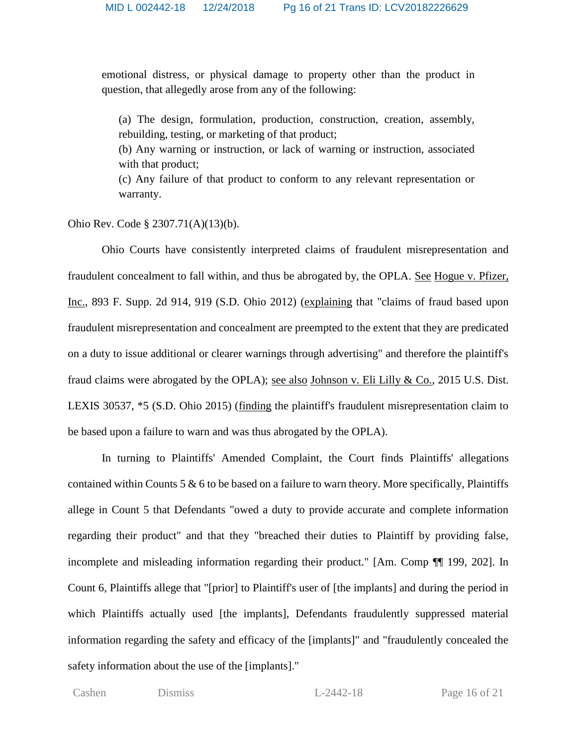emotional distress, or physical damage to property other than the product in question, that allegedly arose from any of the following:

(a) The design, formulation, production, construction, creation, assembly, rebuilding, testing, or marketing of that product;

(b) Any warning or instruction, or lack of warning or instruction, associated with that product;

(c) Any failure of that product to conform to any relevant representation or warranty.

Ohio Rev. Code § 2307.71(A)(13)(b).

Ohio Courts have consistently interpreted claims of fraudulent misrepresentation and fraudulent concealment to fall within, and thus be abrogated by, the OPLA. See Hogue v. Pfizer, Inc., 893 F. Supp. 2d 914, 919 (S.D. Ohio 2012) (explaining that "claims of fraud based upon fraudulent misrepresentation and concealment are preempted to the extent that they are predicated on a duty to issue additional or clearer warnings through advertising" and therefore the plaintiff's fraud claims were abrogated by the OPLA); <u>see also Johnson v. Eli Lilly & Co.</u>, 2015 U.S. Dist. LEXIS 30537, \*5 (S.D. Ohio 2015) (finding the plaintiff's fraudulent misrepresentation claim to be based upon a failure to warn and was thus abrogated by the OPLA).

In turning to Plaintiffs' Amended Complaint, the Court finds Plaintiffs' allegations contained within Counts 5 & 6 to be based on a failure to warn theory. More specifically, Plaintiffs allege in Count 5 that Defendants "owed a duty to provide accurate and complete information regarding their product" and that they "breached their duties to Plaintiff by providing false, incomplete and misleading information regarding their product." [Am. Comp ¶¶ 199, 202]. In Count 6, Plaintiffs allege that "[prior] to Plaintiff's user of [the implants] and during the period in which Plaintiffs actually used [the implants], Defendants fraudulently suppressed material information regarding the safety and efficacy of the [implants]" and "fraudulently concealed the safety information about the use of the [implants]."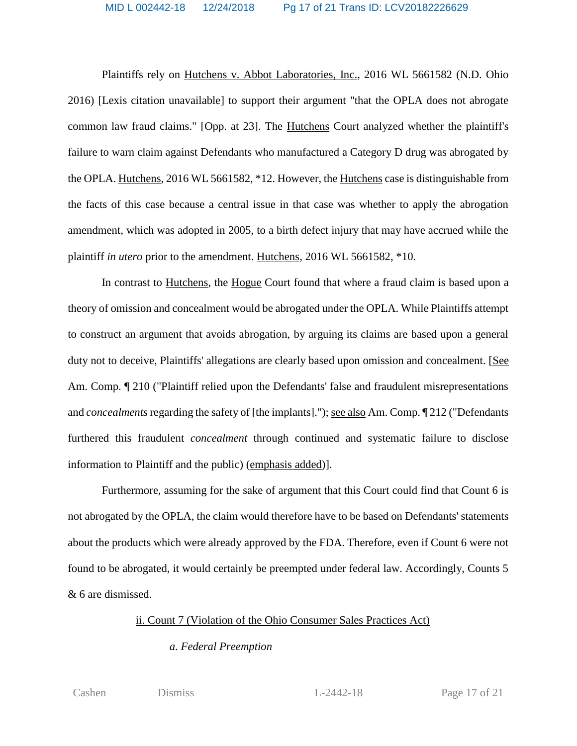Plaintiffs rely on Hutchens v. Abbot Laboratories, Inc., 2016 WL 5661582 (N.D. Ohio 2016) [Lexis citation unavailable] to support their argument "that the OPLA does not abrogate common law fraud claims." [Opp. at 23]. The Hutchens Court analyzed whether the plaintiff's failure to warn claim against Defendants who manufactured a Category D drug was abrogated by the OPLA. Hutchens, 2016 WL 5661582, \*12. However, the Hutchens case is distinguishable from the facts of this case because a central issue in that case was whether to apply the abrogation amendment, which was adopted in 2005, to a birth defect injury that may have accrued while the plaintiff *in utero* prior to the amendment. Hutchens, 2016 WL 5661582, \*10.

In contrast to Hutchens, the Hogue Court found that where a fraud claim is based upon a theory of omission and concealment would be abrogated under the OPLA. While Plaintiffs attempt to construct an argument that avoids abrogation, by arguing its claims are based upon a general duty not to deceive, Plaintiffs' allegations are clearly based upon omission and concealment. [See Am. Comp.  $\llbracket 210 \right.$  ("Plaintiff relied upon the Defendants' false and fraudulent misrepresentations and *concealments*regarding the safety of [the implants]."); see also Am. Comp. ¶ 212 ("Defendants furthered this fraudulent *concealment* through continued and systematic failure to disclose information to Plaintiff and the public) (emphasis added)].

Furthermore, assuming for the sake of argument that this Court could find that Count 6 is not abrogated by the OPLA, the claim would therefore have to be based on Defendants' statements about the products which were already approved by the FDA. Therefore, even if Count 6 were not found to be abrogated, it would certainly be preempted under federal law. Accordingly, Counts 5 & 6 are dismissed.

#### ii. Count 7 (Violation of the Ohio Consumer Sales Practices Act)

## *a. Federal Preemption*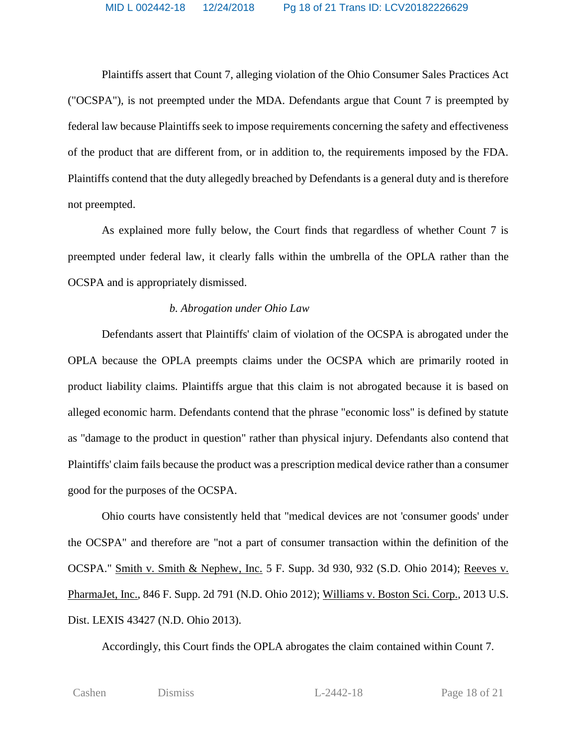Plaintiffs assert that Count 7, alleging violation of the Ohio Consumer Sales Practices Act ("OCSPA"), is not preempted under the MDA. Defendants argue that Count 7 is preempted by federal law because Plaintiffs seek to impose requirements concerning the safety and effectiveness of the product that are different from, or in addition to, the requirements imposed by the FDA. Plaintiffs contend that the duty allegedly breached by Defendants is a general duty and is therefore not preempted.

As explained more fully below, the Court finds that regardless of whether Count 7 is preempted under federal law, it clearly falls within the umbrella of the OPLA rather than the OCSPA and is appropriately dismissed.

### *b. Abrogation under Ohio Law*

Defendants assert that Plaintiffs' claim of violation of the OCSPA is abrogated under the OPLA because the OPLA preempts claims under the OCSPA which are primarily rooted in product liability claims. Plaintiffs argue that this claim is not abrogated because it is based on alleged economic harm. Defendants contend that the phrase "economic loss" is defined by statute as "damage to the product in question" rather than physical injury. Defendants also contend that Plaintiffs' claim fails because the product was a prescription medical device rather than a consumer good for the purposes of the OCSPA.

Ohio courts have consistently held that "medical devices are not 'consumer goods' under the OCSPA" and therefore are "not a part of consumer transaction within the definition of the OCSPA." Smith v. Smith & Nephew, Inc. 5 F. Supp. 3d 930, 932 (S.D. Ohio 2014); Reeves v. PharmaJet, Inc., 846 F. Supp. 2d 791 (N.D. Ohio 2012); Williams v. Boston Sci. Corp., 2013 U.S. Dist. LEXIS 43427 (N.D. Ohio 2013).

Accordingly, this Court finds the OPLA abrogates the claim contained within Count 7.

| ٧<br>٠<br>×<br>$\sim$<br>٧<br>٧ |  |
|---------------------------------|--|
|---------------------------------|--|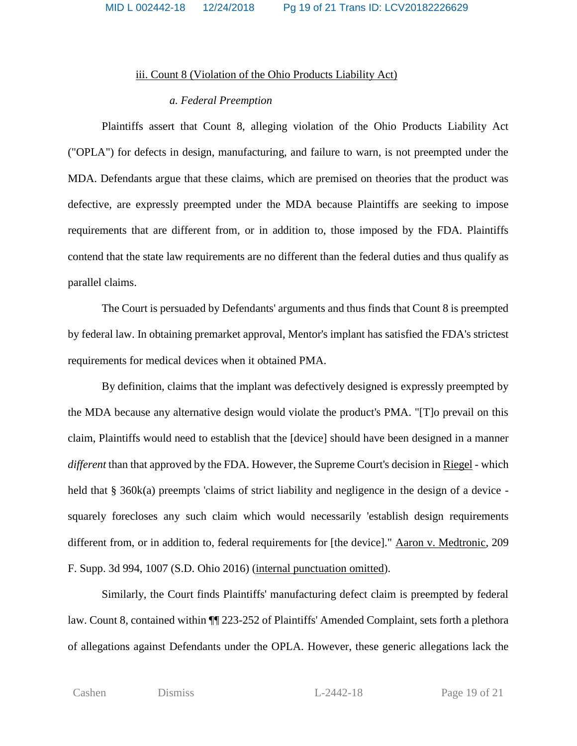#### iii. Count 8 (Violation of the Ohio Products Liability Act)

#### *a. Federal Preemption*

Plaintiffs assert that Count 8, alleging violation of the Ohio Products Liability Act ("OPLA") for defects in design, manufacturing, and failure to warn, is not preempted under the MDA. Defendants argue that these claims, which are premised on theories that the product was defective, are expressly preempted under the MDA because Plaintiffs are seeking to impose requirements that are different from, or in addition to, those imposed by the FDA. Plaintiffs contend that the state law requirements are no different than the federal duties and thus qualify as parallel claims.

The Court is persuaded by Defendants' arguments and thus finds that Count 8 is preempted by federal law. In obtaining premarket approval, Mentor's implant has satisfied the FDA's strictest requirements for medical devices when it obtained PMA.

By definition, claims that the implant was defectively designed is expressly preempted by the MDA because any alternative design would violate the product's PMA. "[T]o prevail on this claim, Plaintiffs would need to establish that the [device] should have been designed in a manner *different* than that approved by the FDA. However, the Supreme Court's decision in Riegel - which held that § 360k(a) preempts 'claims of strict liability and negligence in the design of a device squarely forecloses any such claim which would necessarily 'establish design requirements different from, or in addition to, federal requirements for [the device]." Aaron v. Medtronic, 209 F. Supp. 3d 994, 1007 (S.D. Ohio 2016) (internal punctuation omitted).

Similarly, the Court finds Plaintiffs' manufacturing defect claim is preempted by federal law. Count 8, contained within ¶¶ 223-252 of Plaintiffs' Amended Complaint, sets forth a plethora of allegations against Defendants under the OPLA. However, these generic allegations lack the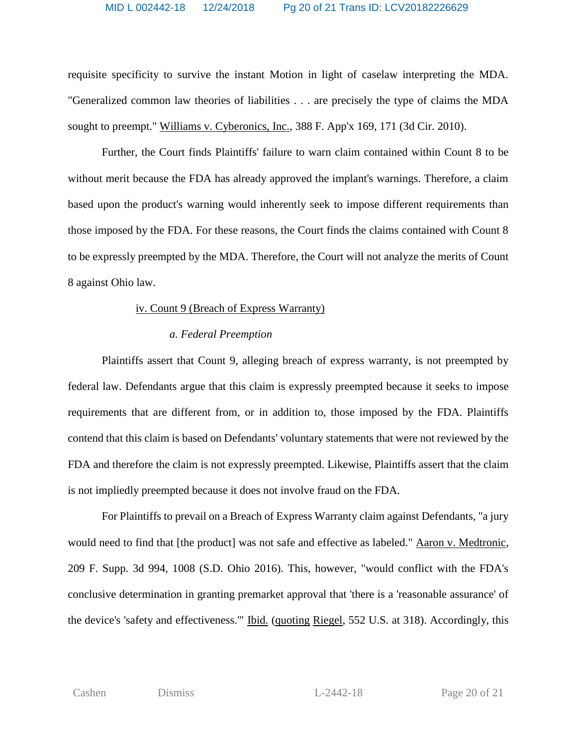requisite specificity to survive the instant Motion in light of caselaw interpreting the MDA. "Generalized common law theories of liabilities . . . are precisely the type of claims the MDA sought to preempt." Williams v. Cyberonics, Inc., 388 F. App'x 169, 171 (3d Cir. 2010).

Further, the Court finds Plaintiffs' failure to warn claim contained within Count 8 to be without merit because the FDA has already approved the implant's warnings. Therefore, a claim based upon the product's warning would inherently seek to impose different requirements than those imposed by the FDA. For these reasons, the Court finds the claims contained with Count 8 to be expressly preempted by the MDA. Therefore, the Court will not analyze the merits of Count 8 against Ohio law.

#### iv. Count 9 (Breach of Express Warranty)

#### *a. Federal Preemption*

Plaintiffs assert that Count 9, alleging breach of express warranty, is not preempted by federal law. Defendants argue that this claim is expressly preempted because it seeks to impose requirements that are different from, or in addition to, those imposed by the FDA. Plaintiffs contend that this claim is based on Defendants' voluntary statements that were not reviewed by the FDA and therefore the claim is not expressly preempted. Likewise, Plaintiffs assert that the claim is not impliedly preempted because it does not involve fraud on the FDA.

For Plaintiffs to prevail on a Breach of Express Warranty claim against Defendants, "a jury would need to find that [the product] was not safe and effective as labeled." Aaron v. Medtronic, 209 F. Supp. 3d 994, 1008 (S.D. Ohio 2016). This, however, "would conflict with the FDA's conclusive determination in granting premarket approval that 'there is a 'reasonable assurance' of the device's 'safety and effectiveness.'" Ibid. (quoting Riegel, 552 U.S. at 318). Accordingly, this